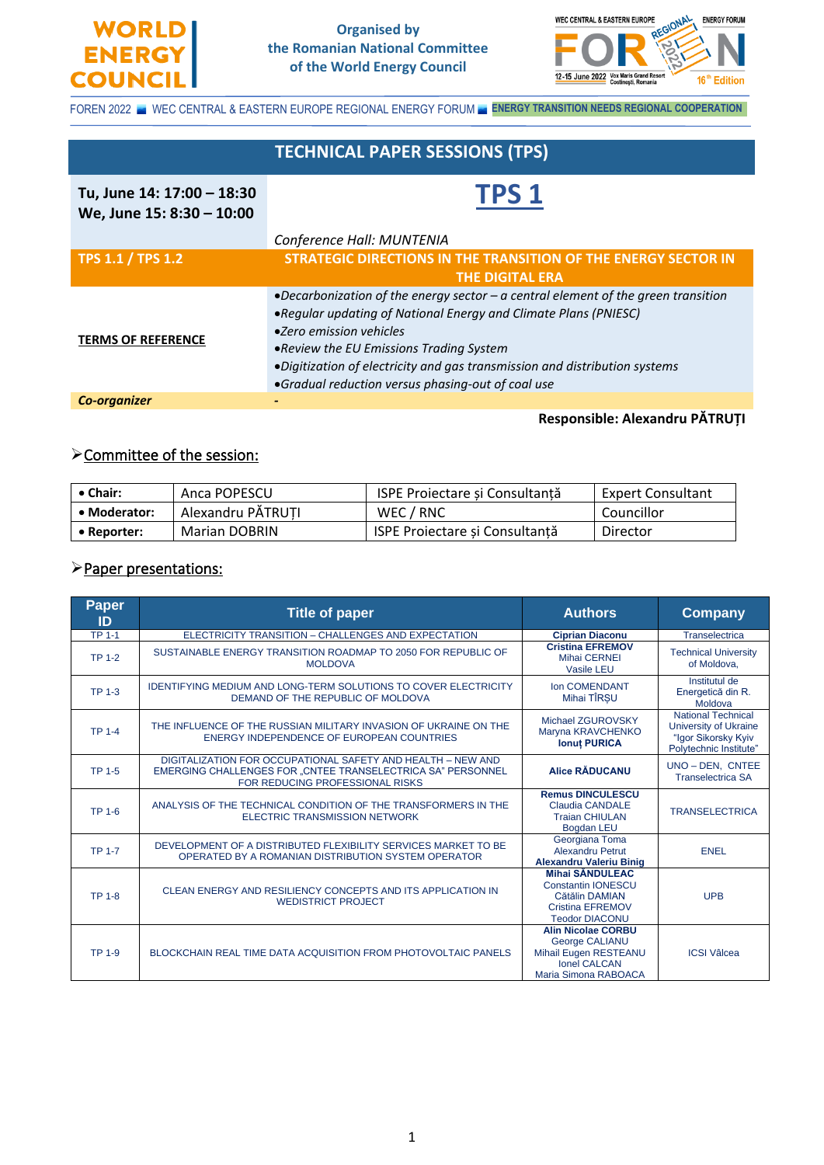



FOREN 2022 WEC CENTRAL & EASTERN EUROPE REGIONAL ENERGY FORUM **ENERGY TRANSITION NEEDS REGIONAL COOPERATION** 

|                            | <b>TECHNICAL PAPER SESSIONS (TPS)</b>                                              |  |  |
|----------------------------|------------------------------------------------------------------------------------|--|--|
|                            |                                                                                    |  |  |
| Tu, June 14: 17:00 - 18:30 | TPS <sub>1</sub>                                                                   |  |  |
| We, June 15: 8:30 - 10:00  |                                                                                    |  |  |
|                            | Conference Hall: MUNTENIA                                                          |  |  |
| <b>TPS 1.1 / TPS 1.2</b>   | STRATEGIC DIRECTIONS IN THE TRANSITION OF THE ENERGY SECTOR IN                     |  |  |
|                            | <b>THE DIGITAL ERA</b>                                                             |  |  |
|                            | •Decarbonization of the energy sector $-a$ central element of the green transition |  |  |
|                            | •Reqular updating of National Energy and Climate Plans (PNIESC)                    |  |  |
| <b>TERMS OF REFERENCE</b>  | •Zero emission vehicles                                                            |  |  |
|                            | • Review the EU Emissions Trading System                                           |  |  |
|                            | •Digitization of electricity and gas transmission and distribution systems         |  |  |
|                            | •Gradual reduction versus phasing-out of coal use                                  |  |  |
| <b>Co-organizer</b>        |                                                                                    |  |  |
|                            | Responsible: Alexandru PĂTRUȚI                                                     |  |  |

## ➢Committee of the session:

| $\bullet$ Chair: | Anca POPESCU         | ISPE Proiectare și Consultanță        | <b>Expert Consultant</b> |
|------------------|----------------------|---------------------------------------|--------------------------|
| • Moderator:     | Alexandru PĂTRUTI    | WEC / RNC                             | Councillor               |
| • Reporter:      | <b>Marian DOBRIN</b> | <b>ISPE Projectare și Consultantă</b> | Director                 |

#### ➢Paper presentations:

| Paper<br>ID   | <b>Title of paper</b>                                                                                                                                         | <b>Authors</b>                                                                                                             | Company                                                                                             |
|---------------|---------------------------------------------------------------------------------------------------------------------------------------------------------------|----------------------------------------------------------------------------------------------------------------------------|-----------------------------------------------------------------------------------------------------|
| <b>TP 1-1</b> | ELECTRICITY TRANSITION - CHALLENGES AND EXPECTATION                                                                                                           | <b>Ciprian Diaconu</b>                                                                                                     | Transelectrica                                                                                      |
| <b>TP 1-2</b> | SUSTAINABLE ENERGY TRANSITION ROADMAP TO 2050 FOR REPUBLIC OF<br><b>MOLDOVA</b>                                                                               | <b>Cristina EFREMOV</b><br><b>Mihai CERNEI</b><br><b>Vasile LEU</b>                                                        | <b>Technical University</b><br>of Moldova,                                                          |
| <b>TP 1-3</b> | <b>IDENTIFYING MEDIUM AND LONG-TERM SOLUTIONS TO COVER ELECTRICITY</b><br>DEMAND OF THE REPUBLIC OF MOLDOVA                                                   | Ion COMENDANT<br>Mihai TIRSU                                                                                               | Institutul de<br>Energetică din R.<br>Moldova                                                       |
| <b>TP 1-4</b> | THE INFLUENCE OF THE RUSSIAN MILITARY INVASION OF UKRAINE ON THE<br>ENERGY INDEPENDENCE OF EUROPEAN COUNTRIES                                                 | Michael ZGUROVSKY<br>Maryna KRAVCHENKO<br><b>Ionut PURICA</b>                                                              | <b>National Technical</b><br>University of Ukraine<br>"Igor Sikorsky Kyiv<br>Polytechnic Institute" |
| <b>TP 1-5</b> | DIGITALIZATION FOR OCCUPATIONAL SAFETY AND HEALTH - NEW AND<br>EMERGING CHALLENGES FOR "CNTEE TRANSELECTRICA SA" PERSONNEL<br>FOR REDUCING PROFESSIONAL RISKS | <b>Alice RADUCANU</b>                                                                                                      | UNO-DEN, CNTEE<br><b>Transelectrica SA</b>                                                          |
| <b>TP 1-6</b> | ANALYSIS OF THE TECHNICAL CONDITION OF THE TRANSFORMERS IN THE<br><b>ELECTRIC TRANSMISSION NETWORK</b>                                                        | <b>Remus DINCULESCU</b><br><b>Claudia CANDALE</b><br><b>Traian CHIULAN</b><br><b>Bogdan LEU</b>                            | <b>TRANSELECTRICA</b>                                                                               |
| <b>TP 1-7</b> | DEVELOPMENT OF A DISTRIBUTED FLEXIBILITY SERVICES MARKET TO BE<br>OPERATED BY A ROMANIAN DISTRIBUTION SYSTEM OPERATOR                                         | Georgiana Toma<br>Alexandru Petrut<br><b>Alexandru Valeriu Binig</b>                                                       | <b>ENEL</b>                                                                                         |
| <b>TP 1-8</b> | CLEAN ENERGY AND RESILIENCY CONCEPTS AND ITS APPLICATION IN<br><b>WEDISTRICT PROJECT</b>                                                                      | <b>Mihai SANDULEAC</b><br><b>Constantin IONESCU</b><br>Cătălin DAMIAN<br>Cristina EFREMOV<br><b>Teodor DIACONU</b>         | <b>UPB</b>                                                                                          |
| <b>TP 1-9</b> | BLOCKCHAIN REAL TIME DATA ACQUISITION FROM PHOTOVOLTAIC PANELS                                                                                                | <b>Alin Nicolae CORBU</b><br><b>George CALIANU</b><br>Mihail Eugen RESTEANU<br><b>Ionel CALCAN</b><br>Maria Simona RABOACA | <b>ICSI Vâlcea</b>                                                                                  |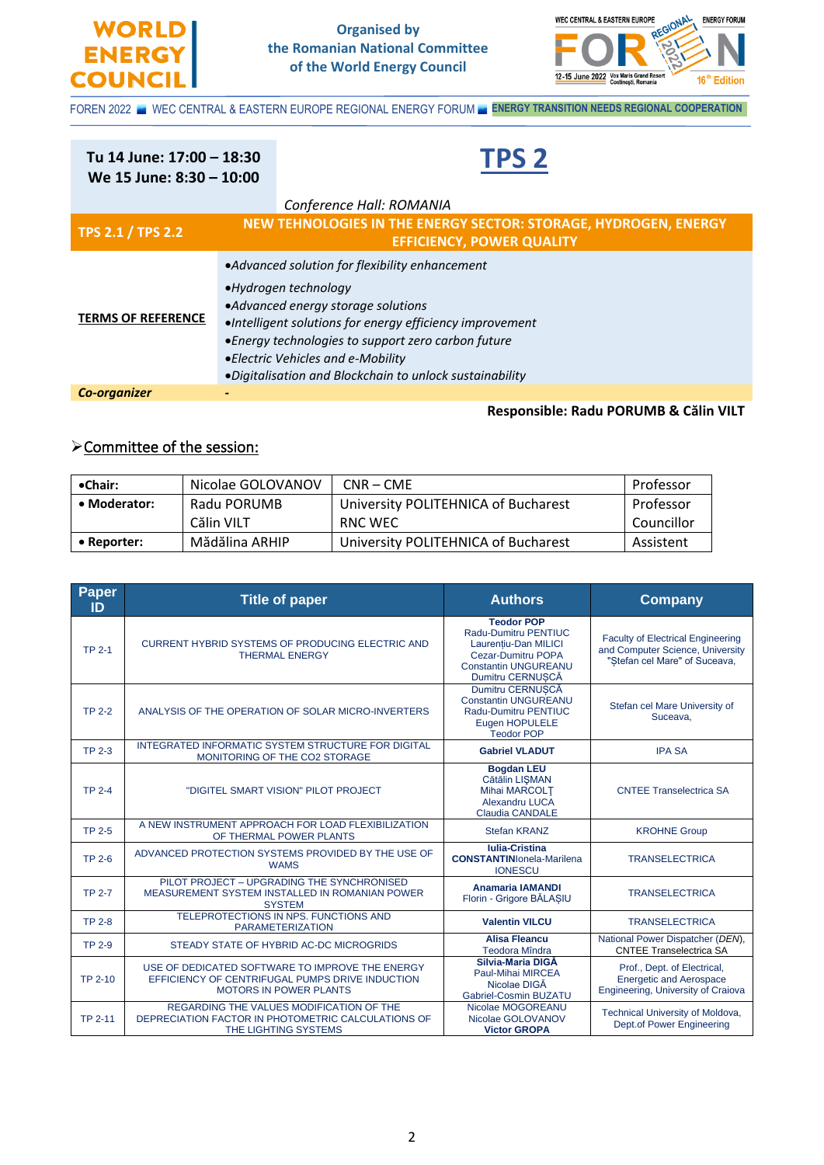



FOREN 2022 WEC CENTRAL & EASTERN EUROPE REGIONAL ENERGY FORUM **ENERGY TRANSITION NEEDS REGIONAL COOPERATION** 

Ī

| Tu 14 June: 17:00 - 18:30<br>We 15 June: 8:30 - 10:00 |                                                                                                                                                                                                                                                                                                                                 | <b>TPS 2</b>                                                                                        |
|-------------------------------------------------------|---------------------------------------------------------------------------------------------------------------------------------------------------------------------------------------------------------------------------------------------------------------------------------------------------------------------------------|-----------------------------------------------------------------------------------------------------|
|                                                       |                                                                                                                                                                                                                                                                                                                                 | Conference Hall: ROMANIA                                                                            |
| <b>TPS 2.1 / TPS 2.2</b>                              |                                                                                                                                                                                                                                                                                                                                 | NEW TEHNOLOGIES IN THE ENERGY SECTOR: STORAGE, HYDROGEN, ENERGY<br><b>EFFICIENCY, POWER QUALITY</b> |
| <b>TERMS OF REFERENCE</b>                             | •Advanced solution for flexibility enhancement<br>•Hydrogen technology<br>•Advanced energy storage solutions<br>•Intelligent solutions for energy efficiency improvement<br>•Energy technologies to support zero carbon future<br>• Electric Vehicles and e-Mobility<br>·Digitalisation and Blockchain to unlock sustainability |                                                                                                     |
| <b>Co-organizer</b>                                   |                                                                                                                                                                                                                                                                                                                                 |                                                                                                     |
|                                                       |                                                                                                                                                                                                                                                                                                                                 | Responsible: Radu PORUMB & Călin VILT                                                               |

# ➢Committee of the session:

| •Chair:      | Nicolae GOLOVANOV | $CNR - CME$                         | Professor  |
|--------------|-------------------|-------------------------------------|------------|
| • Moderator: | Radu PORUMB       | University POLITEHNICA of Bucharest | Professor  |
|              | Călin VILT        | RNC WEC                             | Councillor |
| • Reporter:  | Mădălina ARHIP    | University POLITEHNICA of Bucharest | Assistent  |

| Paper<br>ID    | <b>Title of paper</b>                                                                                                               | <b>Authors</b>                                                                                                                             | <b>Company</b>                                                                                                |
|----------------|-------------------------------------------------------------------------------------------------------------------------------------|--------------------------------------------------------------------------------------------------------------------------------------------|---------------------------------------------------------------------------------------------------------------|
| <b>TP 2-1</b>  | <b>CURRENT HYBRID SYSTEMS OF PRODUCING ELECTRIC AND</b><br><b>THERMAL ENERGY</b>                                                    | <b>Teodor POP</b><br>Radu-Dumitru PENTIUC<br>Laurentiu-Dan MILICI<br>Cezar-Dumitru POPA<br><b>Constantin UNGUREANU</b><br>Dumitru CERNUSCĂ | <b>Faculty of Electrical Engineering</b><br>and Computer Science, University<br>"Stefan cel Mare" of Suceava, |
| <b>TP 2-2</b>  | ANALYSIS OF THE OPERATION OF SOLAR MICRO-INVERTERS                                                                                  | Dumitru CERNUSCĂ<br><b>Constantin UNGUREANU</b><br><b>Radu-Dumitru PENTIUC</b><br>Eugen HOPULELE<br><b>Teodor POP</b>                      | Stefan cel Mare University of<br>Suceava,                                                                     |
| <b>TP 2-3</b>  | INTEGRATED INFORMATIC SYSTEM STRUCTURE FOR DIGITAL<br>MONITORING OF THE CO2 STORAGE                                                 | <b>Gabriel VLADUT</b>                                                                                                                      | <b>IPA SA</b>                                                                                                 |
| <b>TP 2-4</b>  | "DIGITEL SMART VISION" PILOT PROJECT                                                                                                | <b>Bogdan LEU</b><br>Cătălin LIȘMAN<br><b>Mihai MARCOLT</b><br><b>Alexandru LUCA</b><br><b>Claudia CANDALE</b>                             | <b>CNTEE Transelectrica SA</b>                                                                                |
| <b>TP 2-5</b>  | A NEW INSTRUMENT APPROACH FOR LOAD FLEXIBILIZATION<br>OF THERMAL POWER PLANTS                                                       | <b>Stefan KRANZ</b>                                                                                                                        | <b>KROHNE Group</b>                                                                                           |
| <b>TP 2-6</b>  | ADVANCED PROTECTION SYSTEMS PROVIDED BY THE USE OF<br><b>WAMS</b>                                                                   | <b>Iulia-Cristina</b><br><b>CONSTANTINI</b> onela-Marilena<br><b>IONESCU</b>                                                               | <b>TRANSELECTRICA</b>                                                                                         |
| <b>TP 2-7</b>  | PILOT PROJECT - UPGRADING THE SYNCHRONISED<br>MEASUREMENT SYSTEM INSTALLED IN ROMANIAN POWER<br><b>SYSTEM</b>                       | <b>Anamaria IAMANDI</b><br>Florin - Grigore BĂLASIU                                                                                        | <b>TRANSELECTRICA</b>                                                                                         |
| <b>TP 2-8</b>  | TELEPROTECTIONS IN NPS. FUNCTIONS AND<br><b>PARAMETERIZATION</b>                                                                    | <b>Valentin VILCU</b>                                                                                                                      | <b>TRANSELECTRICA</b>                                                                                         |
| <b>TP 2-9</b>  | STEADY STATE OF HYBRID AC-DC MICROGRIDS                                                                                             | <b>Alisa Fleancu</b><br><b>Teodora Mîndra</b>                                                                                              | National Power Dispatcher (DEN),<br><b>CNTEE Transelectrica SA</b>                                            |
| TP 2-10        | USE OF DEDICATED SOFTWARE TO IMPROVE THE ENERGY<br>EFFICIENCY OF CENTRIFUGAL PUMPS DRIVE INDUCTION<br><b>MOTORS IN POWER PLANTS</b> | Silvia-Maria DIGA<br><b>Paul-Mihai MIRCEA</b><br>Nicolae DIGA<br>Gabriel-Cosmin BUZATU                                                     | Prof., Dept. of Electrical,<br><b>Energetic and Aerospace</b><br>Engineering, University of Craiova           |
| <b>TP 2-11</b> | REGARDING THE VALUES MODIFICATION OF THE<br>DEPRECIATION FACTOR IN PHOTOMETRIC CALCULATIONS OF<br>THE LIGHTING SYSTEMS              | Nicolae MOGOREANU<br>Nicolae GOLOVANOV<br><b>Victor GROPA</b>                                                                              | Technical University of Moldova,<br><b>Dept.of Power Engineering</b>                                          |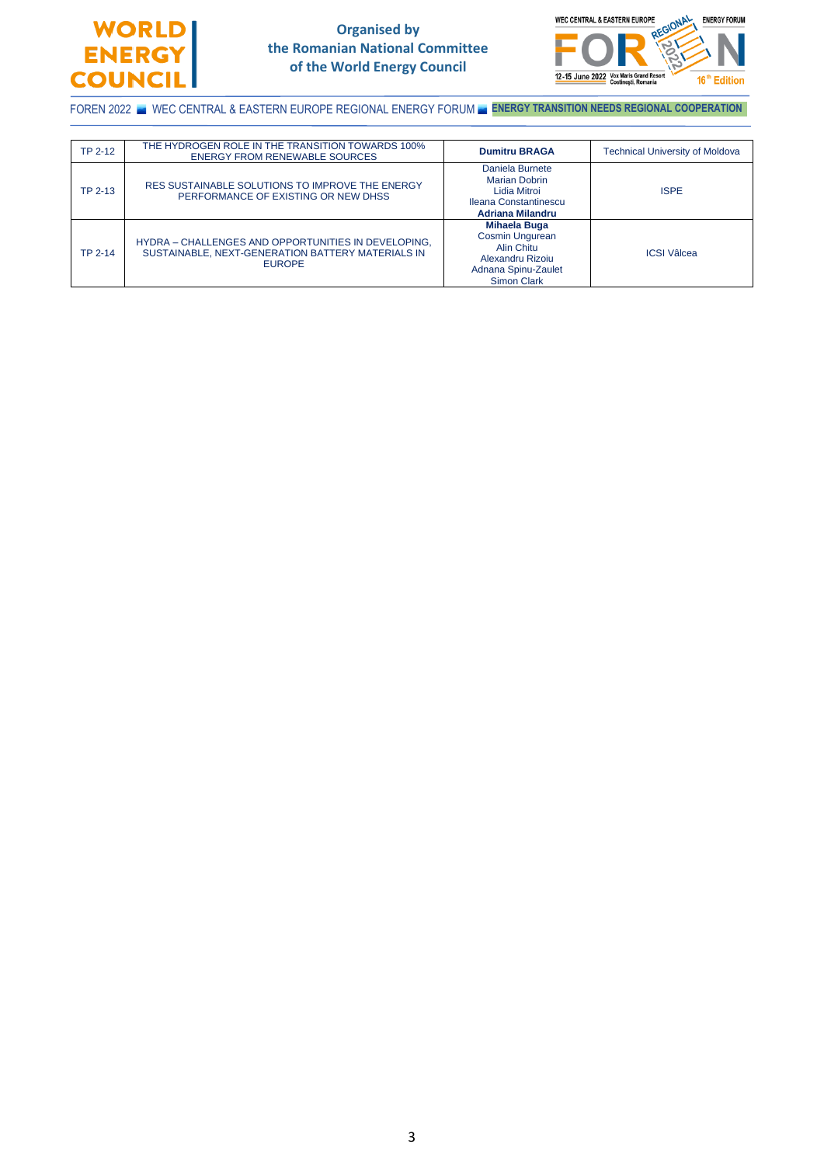

#### **Organised by the Romanian National Committee of the World Energy Council**



FOREN 2022 WE WEC CENTRAL & EASTERN EUROPE REGIONAL ENERGY FORUM **ENERGY TRANSITION NEEDS REGIONAL COOPERATION** 

| <b>TP 2-12</b> | THE HYDROGEN ROLE IN THE TRANSITION TOWARDS 100%<br><b>ENERGY FROM RENEWABLE SOURCES</b>                                  | <b>Dumitru BRAGA</b>                                                                                                  | <b>Technical University of Moldova</b> |
|----------------|---------------------------------------------------------------------------------------------------------------------------|-----------------------------------------------------------------------------------------------------------------------|----------------------------------------|
| TP 2-13        | RES SUSTAINABLE SOLUTIONS TO IMPROVE THE ENERGY<br>PERFORMANCE OF EXISTING OR NEW DHSS                                    | Daniela Burnete<br>Marian Dobrin<br>Lidia Mitroi<br>Ileana Constantinescu<br><b>Adriana Milandru</b>                  | <b>ISPE</b>                            |
| TP 2-14        | HYDRA - CHALLENGES AND OPPORTUNITIES IN DEVELOPING.<br>SUSTAINABLE, NEXT-GENERATION BATTERY MATERIALS IN<br><b>EUROPE</b> | Mihaela Buga<br>Cosmin Ungurean<br><b>Alin Chitu</b><br>Alexandru Rizoiu<br>Adnana Spinu-Zaulet<br><b>Simon Clark</b> | <b>ICSI</b> Vâlcea                     |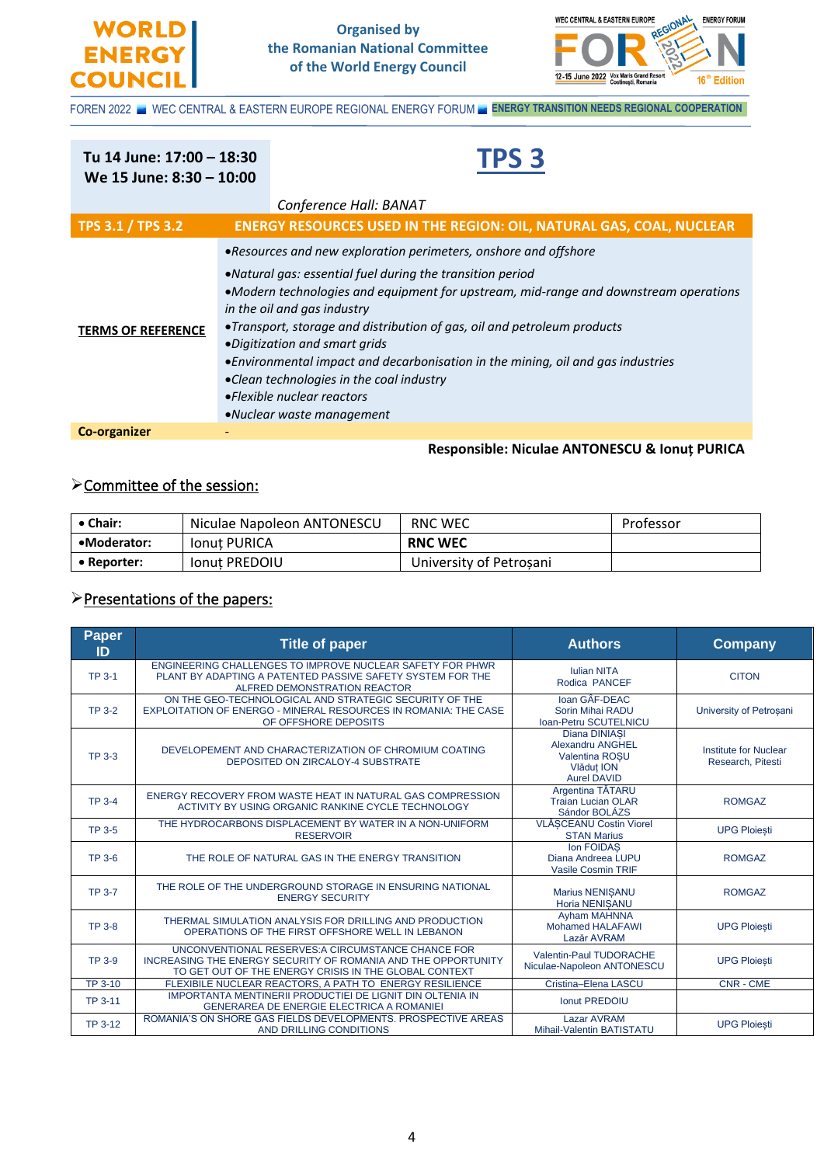



FOREN 2022 WEC CENTRAL & EASTERN EUROPE REGIONAL ENERGY FORUM **ENERGY TRANSITION NEEDS REGIONAL COOPERATION** 

#### Ī **Tu 14 June: 17:00 – 18:30 We 15 June: 8:30 – 10:00 TPS 3** *Conference Hall: BANAT* **TPS 3.1 / TPS 3.2 ENERGY RESOURCES USED IN THE REGION: OIL, NATURAL GAS, COAL, NUCLEAR TERMS OF REFERENCE** •*Resources and new exploration perimeters, onshore and offshore* •*Natural gas: essential fuel during the transition period* •*Modern technologies and equipment for upstream, mid-range and downstream operations in the oil and gas industry* •*Transport, storage and distribution of gas, oil and petroleum products* •*Digitization and smart grids* •*Environmental impact and decarbonisation in the mining, oil and gas industries* •*Clean technologies in the coal industry* •*Flexible nuclear reactors*  •*Nuclear waste management*

**Co-organizer** *-*

#### **Responsible: Niculae ANTONESCU & Ionuț PURICA**

#### ➢Committee of the session:

| ∣ • Chair:  | Niculae Napoleon ANTONESCU | RNC WEC                 | Professor |
|-------------|----------------------------|-------------------------|-----------|
| •Moderator: | Ionut PURICA               | <b>RNC WEC</b>          |           |
| • Reporter: | <b>Jonut PREDOIU</b>       | University of Petrosani |           |

#### ➢Presentations of the papers:

| <b>Paper</b><br>ID | <b>Title of paper</b>                                                                                                                                                        | <b>Authors</b>                                                                                               | <b>Company</b>                                    |
|--------------------|------------------------------------------------------------------------------------------------------------------------------------------------------------------------------|--------------------------------------------------------------------------------------------------------------|---------------------------------------------------|
| <b>TP 3-1</b>      | ENGINEERING CHALLENGES TO IMPROVE NUCLEAR SAFETY FOR PHWR<br>PLANT BY ADAPTING A PATENTED PASSIVE SAFETY SYSTEM FOR THE<br>ALFRED DEMONSTRATION REACTOR                      | <b>Iulian NITA</b><br>Rodica PANCEF                                                                          | <b>CITON</b>                                      |
| <b>TP 3-2</b>      | ON THE GEO-TECHNOLOGICAL AND STRATEGIC SECURITY OF THE<br>EXPLOITATION OF ENERGO - MINERAL RESOURCES IN ROMANIA: THE CASE<br>OF OFFSHORE DEPOSITS                            | Ioan GÂF-DEAC<br>Sorin Mihai RADU<br>Ioan-Petru SCUTELNICU                                                   | University of Petrosani                           |
| <b>TP 3-3</b>      | DEVELOPEMENT AND CHARACTERIZATION OF CHROMIUM COATING<br><b>DEPOSITED ON ZIRCALOY-4 SUBSTRATE</b>                                                                            | <b>Diana DINIASI</b><br><b>Alexandru ANGHEL</b><br><b>Valentina ROSU</b><br>Vlăduț ION<br><b>Aurel DAVID</b> | <b>Institute for Nuclear</b><br>Research, Pitesti |
| <b>TP 3-4</b>      | ENERGY RECOVERY FROM WASTE HEAT IN NATURAL GAS COMPRESSION<br>ACTIVITY BY USING ORGANIC RANKINE CYCLE TECHNOLOGY                                                             | Argentina TĂTARU<br><b>Traian Lucian OLAR</b><br>Sándor BOLÁZS                                               | <b>ROMGAZ</b>                                     |
| <b>TP 3-5</b>      | THE HYDROCARBONS DISPLACEMENT BY WATER IN A NON-UNIFORM<br><b>RESERVOIR</b>                                                                                                  | VLĂSCEANU Costin Viorel<br><b>STAN Marius</b>                                                                | <b>UPG Ploiesti</b>                               |
| <b>TP 3-6</b>      | THE ROLE OF NATURAL GAS IN THE ENERGY TRANSITION                                                                                                                             | Ion FOIDAS<br>Diana Andreea LUPU<br>Vasile Cosmin TRIF                                                       | <b>ROMGAZ</b>                                     |
| <b>TP 3-7</b>      | THE ROLE OF THE UNDERGROUND STORAGE IN ENSURING NATIONAL<br><b>ENERGY SECURITY</b>                                                                                           | Marius NENISANU<br><b>Horia NENISANU</b>                                                                     | <b>ROMGAZ</b>                                     |
| <b>TP 3-8</b>      | THERMAL SIMULATION ANALYSIS FOR DRILLING AND PRODUCTION<br>OPERATIONS OF THE FIRST OFFSHORE WELL IN LEBANON                                                                  | Ayham MAHNNA<br><b>Mohamed HALAFAWI</b><br>Lazăr AVRAM                                                       | <b>UPG Ploiesti</b>                               |
| <b>TP 3-9</b>      | UNCONVENTIONAL RESERVES: A CIRCUMSTANCE CHANCE FOR<br>INCREASING THE ENERGY SECURITY OF ROMANIA AND THE OPPORTUNITY<br>TO GET OUT OF THE ENERGY CRISIS IN THE GLOBAL CONTEXT | Valentin-Paul TUDORACHE<br>Niculae-Napoleon ANTONESCU                                                        | <b>UPG Ploiesti</b>                               |
| TP 3-10            | FLEXIBILE NUCLEAR REACTORS, A PATH TO ENERGY RESILIENCE                                                                                                                      | Cristina-Elena LASCU                                                                                         | <b>CNR - CME</b>                                  |
| TP 3-11            | IMPORTANTA MENTINERII PRODUCTIEI DE LIGNIT DIN OLTENIA IN<br>GENERAREA DE ENERGIE ELECTRICA A ROMANIEI                                                                       | <b>Ionut PREDOIU</b>                                                                                         |                                                   |
| TP 3-12            | ROMANIA'S ON SHORE GAS FIELDS DEVELOPMENTS. PROSPECTIVE AREAS<br>AND DRILLING CONDITIONS                                                                                     | <b>Lazar AVRAM</b><br>Mihail-Valentin BATISTATU                                                              | <b>UPG Ploiesti</b>                               |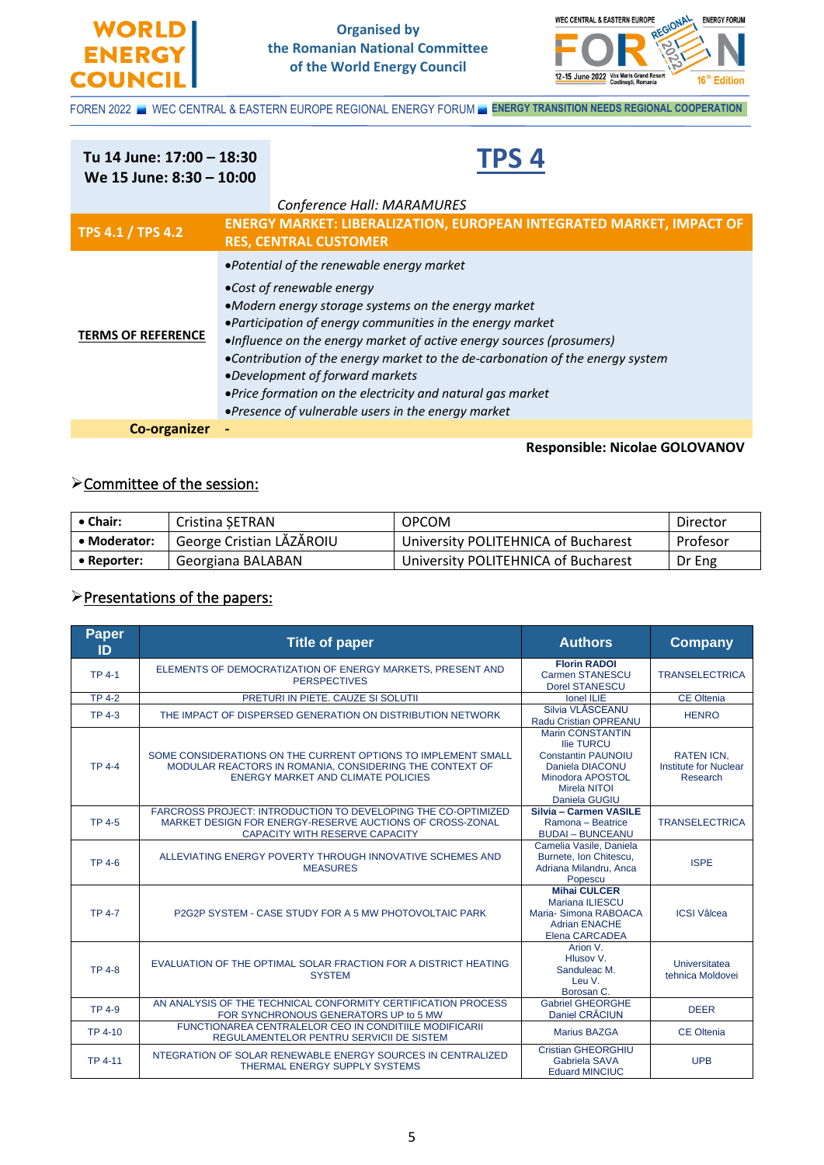



**Responsible: Nicolae GOLOVANOV**

FOREN 2022 WEC CENTRAL & EASTERN EUROPE REGIONAL ENERGY FORUM **ENERGY TRANSITION NEEDS REGIONAL COOPERATION** 

#### Ī **Tu 14 June: 17:00 – 18:30 We 15 June: 8:30 – 10:00 TPS 4** *Conference Hall: MARAMURES* **TPS 4.1 / TPS 4.2 ENERGY MARKET: LIBERALIZATION, EUROPEAN INTEGRATED MARKET, IMPACT OF RES, CENTRAL CUSTOMER TERMS OF REFERENCE** •*Potential of the renewable energy market* •*Cost of renewable energy* •*Modern energy storage systems on the energy market* •*Participation of energy communities in the energy market* •*Influence on the energy market of active energy sources (prosumers)* •*Contribution of the energy market to the de-carbonation of the energy system* •*Development of forward markets* •*Price formation on the electricity and natural gas market* •*Presence of vulnerable users in the energy market* **Co-organizer -**

# ➢Committee of the session:

| $\bullet$ Chair: | Cristina SETRAN          | <b>OPCOM</b>                        | Director |
|------------------|--------------------------|-------------------------------------|----------|
| • Moderator:     | George Cristian LĂZĂROIU | University POLITEHNICA of Bucharest | Profesor |
| • Reporter:      | Georgiana BALABAN        | University POLITEHNICA of Bucharest | Dr Eng   |

#### ➢Presentations of the papers:

| <b>Paper</b><br>ID | <b>Title of paper</b>                                                                                                                                                 | <b>Authors</b>                                                                                                                                           | <b>Company</b>                                                |
|--------------------|-----------------------------------------------------------------------------------------------------------------------------------------------------------------------|----------------------------------------------------------------------------------------------------------------------------------------------------------|---------------------------------------------------------------|
| <b>TP 4-1</b>      | ELEMENTS OF DEMOCRATIZATION OF ENERGY MARKETS, PRESENT AND<br><b>PERSPECTIVES</b>                                                                                     | <b>Florin RADOI</b><br>Carmen STANESCU<br><b>Dorel STANESCU</b>                                                                                          | <b>TRANSELECTRICA</b>                                         |
| <b>TP 4-2</b>      | PRETURI IN PIETE. CAUZE SI SOLUTII                                                                                                                                    | <b>Ionel ILIE</b>                                                                                                                                        | <b>CE Oltenia</b>                                             |
| <b>TP 4-3</b>      | THE IMPACT OF DISPERSED GENERATION ON DISTRIBUTION NETWORK                                                                                                            | Silvia VLĂSCEANU<br>Radu Cristian OPREANU                                                                                                                | <b>HENRO</b>                                                  |
| <b>TP 4-4</b>      | SOME CONSIDERATIONS ON THE CURRENT OPTIONS TO IMPLEMENT SMALL<br>MODULAR REACTORS IN ROMANIA, CONSIDERING THE CONTEXT OF<br><b>ENERGY MARKET AND CLIMATE POLICIES</b> | <b>Marin CONSTANTIN</b><br><b>Ilie TURCU</b><br><b>Constantin PAUNOIU</b><br>Daniela DIACONU<br>Minodora APOSTOL<br><b>Mirela NITOI</b><br>Daniela GUGIU | <b>RATEN ICN.</b><br><b>Institute for Nuclear</b><br>Research |
| <b>TP 4-5</b>      | FARCROSS PROJECT: INTRODUCTION TO DEVELOPING THE CO-OPTIMIZED<br>MARKET DESIGN FOR ENERGY-RESERVE AUCTIONS OF CROSS-ZONAL<br><b>CAPACITY WITH RESERVE CAPACITY</b>    | Silvia - Carmen VASILE<br>Ramona - Beatrice<br><b>BUDAI - BUNCEANU</b>                                                                                   | <b>TRANSELECTRICA</b>                                         |
| <b>TP 4-6</b>      | ALLEVIATING ENERGY POVERTY THROUGH INNOVATIVE SCHEMES AND<br><b>MEASURES</b>                                                                                          | Camelia Vasile, Daniela<br>Burnete, Ion Chitescu,<br>Adriana Milandru, Anca<br>Popescu                                                                   | <b>ISPE</b>                                                   |
| <b>TP 4-7</b>      | P2G2P SYSTEM - CASE STUDY FOR A 5 MW PHOTOVOLTAIC PARK                                                                                                                | <b>Mihai CULCER</b><br><b>Mariana ILIESCU</b><br>Maria-Simona RABOACA<br><b>Adrian ENACHE</b><br>Elena CARCADEA                                          | <b>ICSI</b> Vâlcea                                            |
| <b>TP 4-8</b>      | EVALUATION OF THE OPTIMAL SOLAR FRACTION FOR A DISTRICT HEATING<br><b>SYSTEM</b>                                                                                      | Arion V.<br>Hlusov V.<br>Sanduleac M.<br>Leu V.<br>Borosan C.                                                                                            | Universitatea<br>tehnica Moldovei                             |
| <b>TP 4-9</b>      | AN ANALYSIS OF THE TECHNICAL CONFORMITY CERTIFICATION PROCESS<br>FOR SYNCHRONOUS GENERATORS UP to 5 MW                                                                | <b>Gabriel GHEORGHE</b><br>Daniel CRĂCIUN                                                                                                                | <b>DEER</b>                                                   |
| TP 4-10            | FUNCTIONAREA CENTRALELOR CEO IN CONDITIILE MODIFICARII<br>REGULAMENTELOR PENTRU SERVICII DE SISTEM                                                                    | <b>Marius BAZGA</b>                                                                                                                                      | <b>CE Oltenia</b>                                             |
| <b>TP 4-11</b>     | NTEGRATION OF SOLAR RENEWABLE ENERGY SOURCES IN CENTRALIZED<br>THERMAL ENERGY SUPPLY SYSTEMS                                                                          | <b>Cristian GHEORGHIU</b><br>Gabriela SAVA<br><b>Eduard MINCIUC</b>                                                                                      | <b>UPB</b>                                                    |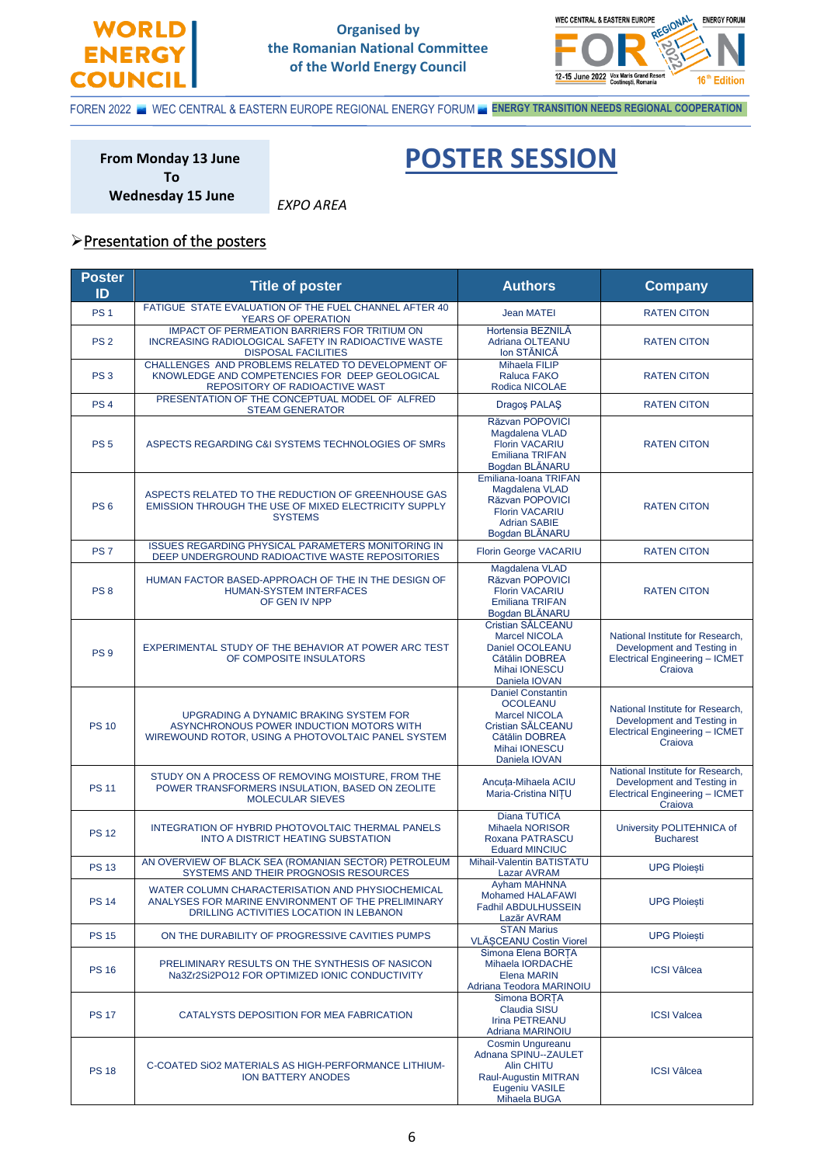

#### **Organised by the Romanian National Committee of the World Energy Council**

*EXPO AREA*



FOREN 2022 WEC CENTRAL & EASTERN EUROPE REGIONAL ENERGY FORUM **ENERGY TRANSITION NEEDS REGIONAL COOPERATION** 

Ī

**From Monday 13 June To Wednesday 15 June**

**POSTER SESSION**

## ➢Presentation of the posters

| <b>Poster</b><br>ID | <b>Title of poster</b>                                                                                                                            | <b>Authors</b>                                                                                                                               | <b>Company</b>                                                                                                     |
|---------------------|---------------------------------------------------------------------------------------------------------------------------------------------------|----------------------------------------------------------------------------------------------------------------------------------------------|--------------------------------------------------------------------------------------------------------------------|
| <b>PS1</b>          | FATIGUE STATE EVALUATION OF THE FUEL CHANNEL AFTER 40<br>YEARS OF OPERATION                                                                       | <b>Jean MATEI</b>                                                                                                                            | <b>RATEN CITON</b>                                                                                                 |
| PS <sub>2</sub>     | <b>IMPACT OF PERMEATION BARRIERS FOR TRITIUM ON</b><br>INCREASING RADIOLOGICAL SAFETY IN RADIOACTIVE WASTE<br><b>DISPOSAL FACILITIES</b>          | Hortensia BEZNILĂ<br>Adriana OLTEANU<br>Ion STĂNICĂ                                                                                          | <b>RATEN CITON</b>                                                                                                 |
| PS <sub>3</sub>     | CHALLENGES AND PROBLEMS RELATED TO DEVELOPMENT OF<br>KNOWLEDGE AND COMPETENCIES FOR DEEP GEOLOGICAL<br>REPOSITORY OF RADIOACTIVE WAST             | Mihaela FILIP<br>Raluca FAKO<br>Rodica NICOLAE                                                                                               | <b>RATEN CITON</b>                                                                                                 |
| PS <sub>4</sub>     | PRESENTATION OF THE CONCEPTUAL MODEL OF ALFRED<br><b>STEAM GENERATOR</b>                                                                          | Dragos PALAŞ                                                                                                                                 | <b>RATEN CITON</b>                                                                                                 |
| <b>PS 5</b>         | ASPECTS REGARDING C&I SYSTEMS TECHNOLOGIES OF SMRs                                                                                                | Răzvan POPOVICI<br>Magdalena VLAD<br><b>Florin VACARIU</b><br><b>Emiliana TRIFAN</b><br>Bogdan BLÅNARU                                       | <b>RATEN CITON</b>                                                                                                 |
| PS <sub>6</sub>     | ASPECTS RELATED TO THE REDUCTION OF GREENHOUSE GAS<br>EMISSION THROUGH THE USE OF MIXED ELECTRICITY SUPPLY<br><b>SYSTEMS</b>                      | Emiliana-Ioana TRIFAN<br>Magdalena VLAD<br>Răzvan POPOVICI<br><b>Florin VACARIU</b><br><b>Adrian SABIE</b><br>Bogdan BLÅNARU                 | <b>RATEN CITON</b>                                                                                                 |
| PS <sub>7</sub>     | <b>ISSUES REGARDING PHYSICAL PARAMETERS MONITORING IN</b><br>DEEP UNDERGROUND RADIOACTIVE WASTE REPOSITORIES                                      | Florin George VACARIU                                                                                                                        | <b>RATEN CITON</b>                                                                                                 |
| PS <sub>8</sub>     | HUMAN FACTOR BASED-APPROACH OF THE IN THE DESIGN OF<br><b>HUMAN-SYSTEM INTERFACES</b><br>OF GEN IV NPP                                            | Magdalena VLAD<br>Răzvan POPOVICI<br><b>Florin VACARIU</b><br><b>Emiliana TRIFAN</b><br>Bogdan BLĂNARU                                       | <b>RATEN CITON</b>                                                                                                 |
| PS <sub>9</sub>     | EXPERIMENTAL STUDY OF THE BEHAVIOR AT POWER ARC TEST<br>OF COMPOSITE INSULATORS                                                                   | Cristian SĂLCEANU<br><b>Marcel NICOLA</b><br>Daniel OCOLEANU<br>Cătălin DOBREA<br>Mihai IONESCU<br>Daniela IOVAN                             | National Institute for Research,<br>Development and Testing in<br>Electrical Engineering - ICMET<br>Craiova        |
| <b>PS 10</b>        | UPGRADING A DYNAMIC BRAKING SYSTEM FOR<br>ASYNCHRONOUS POWER INDUCTION MOTORS WITH<br>WIREWOUND ROTOR, USING A PHOTOVOLTAIC PANEL SYSTEM          | <b>Daniel Constantin</b><br><b>OCOLEANU</b><br><b>Marcel NICOLA</b><br>Cristian SALCEANU<br>Cătălin DOBREA<br>Mihai IONESCU<br>Daniela IOVAN | National Institute for Research,<br>Development and Testing in<br><b>Electrical Engineering - ICMET</b><br>Craiova |
| <b>PS 11</b>        | STUDY ON A PROCESS OF REMOVING MOISTURE, FROM THE<br>POWER TRANSFORMERS INSULATION, BASED ON ZEOLITE<br><b>MOLECULAR SIEVES</b>                   | Ancuta-Mihaela ACIU<br>Maria-Cristina NITU                                                                                                   | National Institute for Research,<br>Development and Testing in<br><b>Electrical Engineering - ICMET</b><br>Craiova |
| <b>PS 12</b>        | INTEGRATION OF HYBRID PHOTOVOLTAIC THERMAL PANELS<br><b>INTO A DISTRICT HEATING SUBSTATION</b>                                                    | Diana TUTICA<br>Mihaela NORISOR<br>Roxana PATRASCU<br><b>Eduard MINCIUC</b>                                                                  | University POLITEHNICA of<br><b>Bucharest</b>                                                                      |
| <b>PS 13</b>        | AN OVERVIEW OF BLACK SEA (ROMANIAN SECTOR) PETROLEUM<br>SYSTEMS AND THEIR PROGNOSIS RESOURCES                                                     | Mihail-Valentin BATISTATU<br><b>Lazar AVRAM</b>                                                                                              | <b>UPG Ploiesti</b>                                                                                                |
| <b>PS 14</b>        | WATER COLUMN CHARACTERISATION AND PHYSIOCHEMICAL<br>ANALYSES FOR MARINE ENVIRONMENT OF THE PRELIMINARY<br>DRILLING ACTIVITIES LOCATION IN LEBANON | <b>Ayham MAHNNA</b><br><b>Mohamed HALAFAWI</b><br>Fadhil ABDULHUSSEIN<br>Lazăr AVRAM                                                         | <b>UPG Ploiesti</b>                                                                                                |
| <b>PS 15</b>        | ON THE DURABILITY OF PROGRESSIVE CAVITIES PUMPS                                                                                                   | <b>STAN Marius</b><br>VLĂȘCEANU Costin Viorel                                                                                                | <b>UPG Ploiesti</b>                                                                                                |
| <b>PS 16</b>        | PRELIMINARY RESULTS ON THE SYNTHESIS OF NASICON<br>Na3Zr2Si2PO12 FOR OPTIMIZED IONIC CONDUCTIVITY                                                 | Simona Elena BORTA<br>Mihaela IORDACHE<br><b>Elena MARIN</b><br>Adriana Teodora MARINOIU                                                     | <b>ICSI Vâlcea</b>                                                                                                 |
| <b>PS 17</b>        | CATALYSTS DEPOSITION FOR MEA FABRICATION                                                                                                          | Simona BORTA<br><b>Claudia SISU</b><br><b>Irina PETREANU</b><br>Adriana MARINOIU                                                             | <b>ICSI Valcea</b>                                                                                                 |
| <b>PS 18</b>        | C-COATED SIO2 MATERIALS AS HIGH-PERFORMANCE LITHIUM-<br>ION BATTERY ANODES                                                                        | <b>Cosmin Ungureanu</b><br>Adnana SPINU--ZAULET<br><b>Alin CHITU</b><br>Raul-Augustin MITRAN<br>Eugeniu VASILE<br>Mihaela BUGA               | <b>ICSI Vâlcea</b>                                                                                                 |